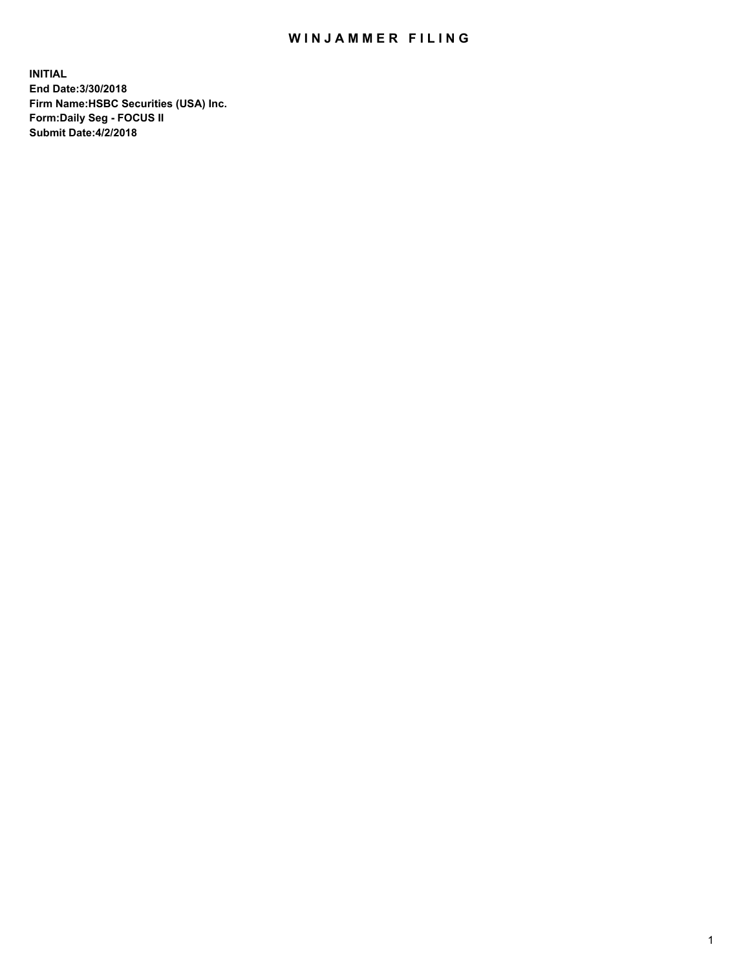## WIN JAMMER FILING

**INITIAL End Date:3/30/2018 Firm Name:HSBC Securities (USA) Inc. Form:Daily Seg - FOCUS II Submit Date:4/2/2018**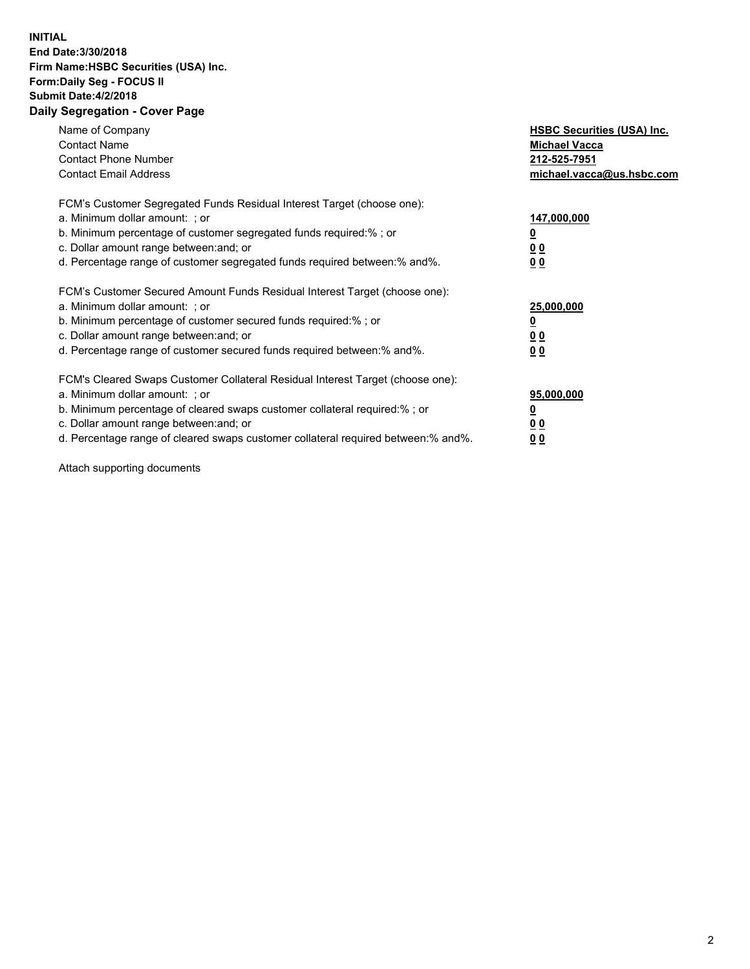## **INITIAL End Date:3/30/2018 Firm Name:HSBC Securities (USA) Inc. Form:Daily Seg - FOCUS II Submit Date:4/2/2018 Daily Segregation - Cover Page**

| Name of Company<br><b>Contact Name</b><br><b>Contact Phone Number</b><br><b>Contact Email Address</b>                                                                                                                                                                                                                         | <b>HSBC Securities (USA) Inc.</b><br><b>Michael Vacca</b><br>212-525-7951<br>michael.vacca@us.hsbc.com |
|-------------------------------------------------------------------------------------------------------------------------------------------------------------------------------------------------------------------------------------------------------------------------------------------------------------------------------|--------------------------------------------------------------------------------------------------------|
| FCM's Customer Segregated Funds Residual Interest Target (choose one):<br>a. Minimum dollar amount: ; or<br>b. Minimum percentage of customer segregated funds required:%; or<br>c. Dollar amount range between: and; or<br>d. Percentage range of customer segregated funds required between: % and %.                       | 147,000,000<br><u>0</u><br><u>00</u><br>00                                                             |
| FCM's Customer Secured Amount Funds Residual Interest Target (choose one):<br>a. Minimum dollar amount: ; or<br>b. Minimum percentage of customer secured funds required:%; or<br>c. Dollar amount range between: and; or<br>d. Percentage range of customer secured funds required between: % and %.                         | 25,000,000<br><u>0</u><br><u>00</u><br>00                                                              |
| FCM's Cleared Swaps Customer Collateral Residual Interest Target (choose one):<br>a. Minimum dollar amount: ; or<br>b. Minimum percentage of cleared swaps customer collateral required:%; or<br>c. Dollar amount range between: and; or<br>d. Percentage range of cleared swaps customer collateral required between:% and%. | 95,000,000<br><u>0</u><br><u>00</u><br><u>00</u>                                                       |

Attach supporting documents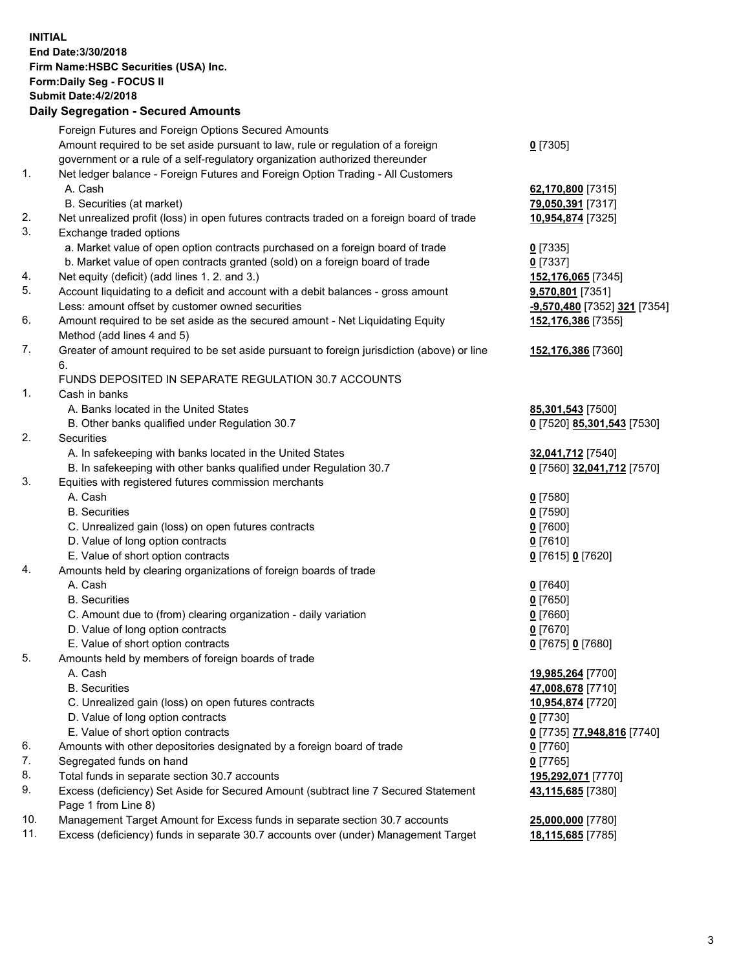**INITIAL End Date:3/30/2018 Firm Name:HSBC Securities (USA) Inc. Form:Daily Seg - FOCUS II Submit Date:4/2/2018 Daily Segregation - Secured Amounts** Foreign Futures and Foreign Options Secured Amounts Amount required to be set aside pursuant to law, rule or regulation of a foreign government or a rule of a self-regulatory organization authorized thereunder **0** [7305] 1. Net ledger balance - Foreign Futures and Foreign Option Trading - All Customers A. Cash **62,170,800** [7315] B. Securities (at market) **79,050,391** [7317] 2. Net unrealized profit (loss) in open futures contracts traded on a foreign board of trade **10,954,874** [7325] 3. Exchange traded options a. Market value of open option contracts purchased on a foreign board of trade **0** [7335] b. Market value of open contracts granted (sold) on a foreign board of trade **0** [7337] 4. Net equity (deficit) (add lines 1. 2. and 3.) **152,176,065** [7345] 5. Account liquidating to a deficit and account with a debit balances - gross amount **9,570,801** [7351] Less: amount offset by customer owned securities **-9,570,480** [7352] **321** [7354] 6. Amount required to be set aside as the secured amount - Net Liquidating Equity Method (add lines 4 and 5) **152,176,386** [7355] 7. Greater of amount required to be set aside pursuant to foreign jurisdiction (above) or line 6. **152,176,386** [7360] FUNDS DEPOSITED IN SEPARATE REGULATION 30.7 ACCOUNTS 1. Cash in banks A. Banks located in the United States **85,301,543** [7500] B. Other banks qualified under Regulation 30.7 **0** [7520] **85,301,543** [7530] 2. Securities A. In safekeeping with banks located in the United States **32,041,712** [7540] B. In safekeeping with other banks qualified under Regulation 30.7 **0** [7560] **32,041,712** [7570] 3. Equities with registered futures commission merchants A. Cash **0** [7580] B. Securities **0** [7590] C. Unrealized gain (loss) on open futures contracts **0** [7600] D. Value of long option contracts **0** [7610] E. Value of short option contracts **0** [7615] **0** [7620] 4. Amounts held by clearing organizations of foreign boards of trade A. Cash **0** [7640] B. Securities **0** [7650] C. Amount due to (from) clearing organization - daily variation **0** [7660] D. Value of long option contracts **0** [7670] E. Value of short option contracts **0** [7675] **0** [7680] 5. Amounts held by members of foreign boards of trade A. Cash **19,985,264** [7700] B. Securities **47,008,678** [7710] C. Unrealized gain (loss) on open futures contracts **10,954,874** [7720] D. Value of long option contracts **0** [7730] E. Value of short option contracts **0** [7735] **77,948,816** [7740] 6. Amounts with other depositories designated by a foreign board of trade **0** [7760] 7. Segregated funds on hand **0** [7765] 8. Total funds in separate section 30.7 accounts **195,292,071** [7770] 9. Excess (deficiency) Set Aside for Secured Amount (subtract line 7 Secured Statement Page 1 from Line 8) **43,115,685** [7380] 10. Management Target Amount for Excess funds in separate section 30.7 accounts **25,000,000** [7780] 11. Excess (deficiency) funds in separate 30.7 accounts over (under) Management Target **18,115,685** [7785]

3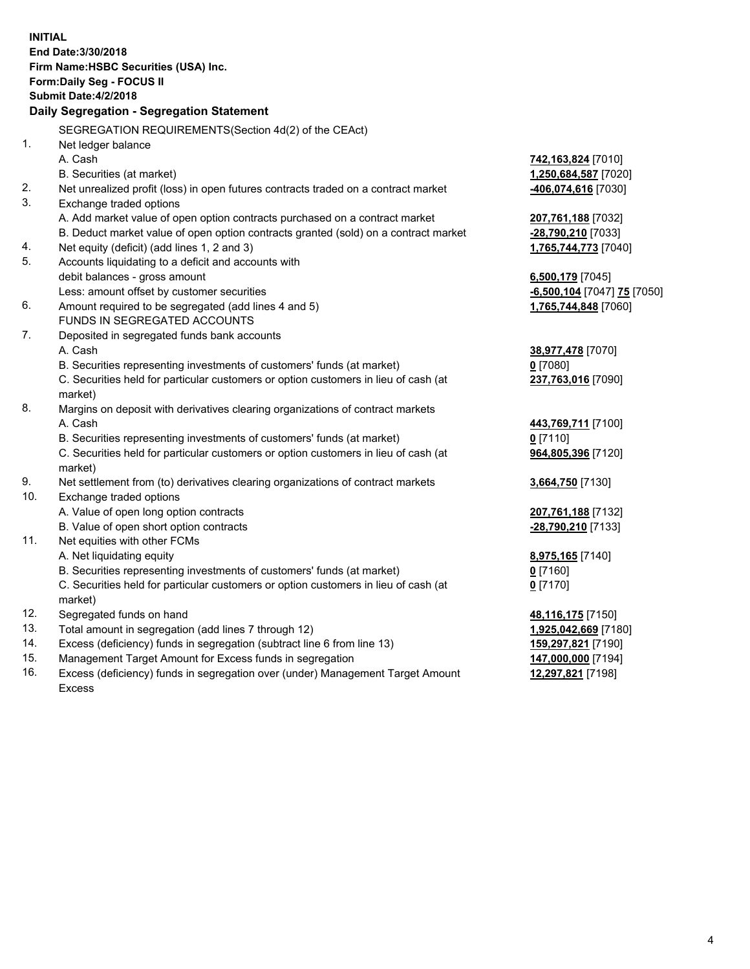| <b>INITIAL</b> | End Date: 3/30/2018<br>Firm Name: HSBC Securities (USA) Inc.<br><b>Form:Daily Seg - FOCUS II</b><br><b>Submit Date:4/2/2018</b><br>Daily Segregation - Segregation Statement |                                           |
|----------------|------------------------------------------------------------------------------------------------------------------------------------------------------------------------------|-------------------------------------------|
|                | SEGREGATION REQUIREMENTS(Section 4d(2) of the CEAct)                                                                                                                         |                                           |
| 1.             | Net ledger balance                                                                                                                                                           |                                           |
|                | A. Cash                                                                                                                                                                      | 742,163,824 [7010]                        |
|                | B. Securities (at market)                                                                                                                                                    | 1,250,684,587 [7020]                      |
| 2.             | Net unrealized profit (loss) in open futures contracts traded on a contract market                                                                                           | <mark>-406,074,616</mark> [7030]          |
| 3.             | Exchange traded options                                                                                                                                                      |                                           |
|                | A. Add market value of open option contracts purchased on a contract market                                                                                                  | 207,761,188 [7032]                        |
|                | B. Deduct market value of open option contracts granted (sold) on a contract market                                                                                          | <u>-28,790,210</u> [7033]                 |
| 4.             | Net equity (deficit) (add lines 1, 2 and 3)                                                                                                                                  | 1,765,744,773 [7040]                      |
| 5.             | Accounts liquidating to a deficit and accounts with                                                                                                                          |                                           |
|                | debit balances - gross amount                                                                                                                                                | 6,500,179 [7045]                          |
|                | Less: amount offset by customer securities                                                                                                                                   | <u>-6,500,104</u> [7047] <u>75</u> [7050] |
| 6.             | Amount required to be segregated (add lines 4 and 5)                                                                                                                         | 1,765,744,848 [7060]                      |
|                | FUNDS IN SEGREGATED ACCOUNTS                                                                                                                                                 |                                           |
| 7.             | Deposited in segregated funds bank accounts                                                                                                                                  |                                           |
|                | A. Cash                                                                                                                                                                      | 38,977,478 [7070]                         |
|                | B. Securities representing investments of customers' funds (at market)                                                                                                       | 0 [7080]                                  |
|                | C. Securities held for particular customers or option customers in lieu of cash (at<br>market)                                                                               | 237,763,016 [7090]                        |
| 8.             | Margins on deposit with derivatives clearing organizations of contract markets                                                                                               |                                           |
|                | A. Cash                                                                                                                                                                      | 443,769,711 [7100]                        |
|                | B. Securities representing investments of customers' funds (at market)                                                                                                       | $0$ [7110]                                |
|                | C. Securities held for particular customers or option customers in lieu of cash (at<br>market)                                                                               | 964,805,396 [7120]                        |
| 9.             | Net settlement from (to) derivatives clearing organizations of contract markets                                                                                              | 3,664,750 [7130]                          |
| 10.            | Exchange traded options                                                                                                                                                      |                                           |
|                | A. Value of open long option contracts                                                                                                                                       | <u>207,761,188</u> [7132]                 |
|                | B. Value of open short option contracts                                                                                                                                      | -28,790,210 [7133]                        |
| 11.            | Net equities with other FCMs                                                                                                                                                 |                                           |
|                | A. Net liquidating equity                                                                                                                                                    | 8,975,165 [7140]                          |
|                | B. Securities representing investments of customers' funds (at market)                                                                                                       | $0$ [7160]                                |
|                | C. Securities held for particular customers or option customers in lieu of cash (at                                                                                          | <u>0</u> [7170]                           |
|                | market)                                                                                                                                                                      |                                           |
| 12.            | Segregated funds on hand                                                                                                                                                     | 48,116,175 [7150]                         |
| 13.            | Total amount in segregation (add lines 7 through 12)                                                                                                                         | 1,925,042,669 [7180]                      |
| 14.            | Excess (deficiency) funds in segregation (subtract line 6 from line 13)                                                                                                      | 159,297,821 [7190]                        |
| 15.            | Management Target Amount for Excess funds in segregation                                                                                                                     | <u>147,000,000</u> [7194]                 |

16. Excess (deficiency) funds in segregation over (under) Management Target Amount Excess

**12,297,821** [7198]